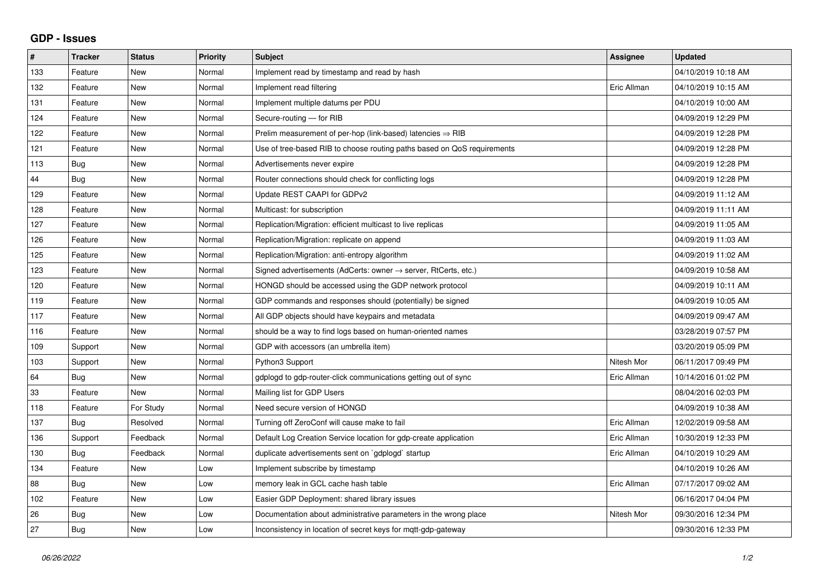## **GDP - Issues**

| $\#$ | <b>Tracker</b> | <b>Status</b> | Priority | <b>Subject</b>                                                          | Assignee    | <b>Updated</b>      |
|------|----------------|---------------|----------|-------------------------------------------------------------------------|-------------|---------------------|
| 133  | Feature        | <b>New</b>    | Normal   | Implement read by timestamp and read by hash                            |             | 04/10/2019 10:18 AM |
| 132  | Feature        | <b>New</b>    | Normal   | Implement read filtering                                                | Eric Allman | 04/10/2019 10:15 AM |
| 131  | Feature        | <b>New</b>    | Normal   | Implement multiple datums per PDU                                       |             | 04/10/2019 10:00 AM |
| 124  | Feature        | <b>New</b>    | Normal   | Secure-routing - for RIB                                                |             | 04/09/2019 12:29 PM |
| 122  | Feature        | <b>New</b>    | Normal   | Prelim measurement of per-hop (link-based) latencies $\Rightarrow$ RIB  |             | 04/09/2019 12:28 PM |
| 121  | Feature        | <b>New</b>    | Normal   | Use of tree-based RIB to choose routing paths based on QoS requirements |             | 04/09/2019 12:28 PM |
| 113  | <b>Bug</b>     | <b>New</b>    | Normal   | Advertisements never expire                                             |             | 04/09/2019 12:28 PM |
| 44   | Bug            | <b>New</b>    | Normal   | Router connections should check for conflicting logs                    |             | 04/09/2019 12:28 PM |
| 129  | Feature        | <b>New</b>    | Normal   | Update REST CAAPI for GDPv2                                             |             | 04/09/2019 11:12 AM |
| 128  | Feature        | <b>New</b>    | Normal   | Multicast: for subscription                                             |             | 04/09/2019 11:11 AM |
| 127  | Feature        | <b>New</b>    | Normal   | Replication/Migration: efficient multicast to live replicas             |             | 04/09/2019 11:05 AM |
| 126  | Feature        | <b>New</b>    | Normal   | Replication/Migration: replicate on append                              |             | 04/09/2019 11:03 AM |
| 125  | Feature        | <b>New</b>    | Normal   | Replication/Migration: anti-entropy algorithm                           |             | 04/09/2019 11:02 AM |
| 123  | Feature        | <b>New</b>    | Normal   | Signed advertisements (AdCerts: owner → server, RtCerts, etc.)          |             | 04/09/2019 10:58 AM |
| 120  | Feature        | <b>New</b>    | Normal   | HONGD should be accessed using the GDP network protocol                 |             | 04/09/2019 10:11 AM |
| 119  | Feature        | <b>New</b>    | Normal   | GDP commands and responses should (potentially) be signed               |             | 04/09/2019 10:05 AM |
| 117  | Feature        | <b>New</b>    | Normal   | All GDP objects should have keypairs and metadata                       |             | 04/09/2019 09:47 AM |
| 116  | Feature        | New           | Normal   | should be a way to find logs based on human-oriented names              |             | 03/28/2019 07:57 PM |
| 109  | Support        | <b>New</b>    | Normal   | GDP with accessors (an umbrella item)                                   |             | 03/20/2019 05:09 PM |
| 103  | Support        | <b>New</b>    | Normal   | Python3 Support                                                         | Nitesh Mor  | 06/11/2017 09:49 PM |
| 64   | Bug            | New           | Normal   | gdplogd to gdp-router-click communications getting out of sync          | Eric Allman | 10/14/2016 01:02 PM |
| 33   | Feature        | <b>New</b>    | Normal   | Mailing list for GDP Users                                              |             | 08/04/2016 02:03 PM |
| 118  | Feature        | For Study     | Normal   | Need secure version of HONGD                                            |             | 04/09/2019 10:38 AM |
| 137  | Bug            | Resolved      | Normal   | Turning off ZeroConf will cause make to fail                            | Eric Allman | 12/02/2019 09:58 AM |
| 136  | Support        | Feedback      | Normal   | Default Log Creation Service location for gdp-create application        | Eric Allman | 10/30/2019 12:33 PM |
| 130  | Bug            | Feedback      | Normal   | duplicate advertisements sent on `gdplogd` startup                      | Eric Allman | 04/10/2019 10:29 AM |
| 134  | Feature        | <b>New</b>    | Low      | Implement subscribe by timestamp                                        |             | 04/10/2019 10:26 AM |
| 88   | Bug            | <b>New</b>    | Low      | memory leak in GCL cache hash table                                     | Eric Allman | 07/17/2017 09:02 AM |
| 102  | Feature        | <b>New</b>    | Low      | Easier GDP Deployment: shared library issues                            |             | 06/16/2017 04:04 PM |
| 26   | Bug            | <b>New</b>    | Low      | Documentation about administrative parameters in the wrong place        | Nitesh Mor  | 09/30/2016 12:34 PM |
| 27   | Bug            | <b>New</b>    | Low      | Inconsistency in location of secret keys for mgtt-gdp-gateway           |             | 09/30/2016 12:33 PM |